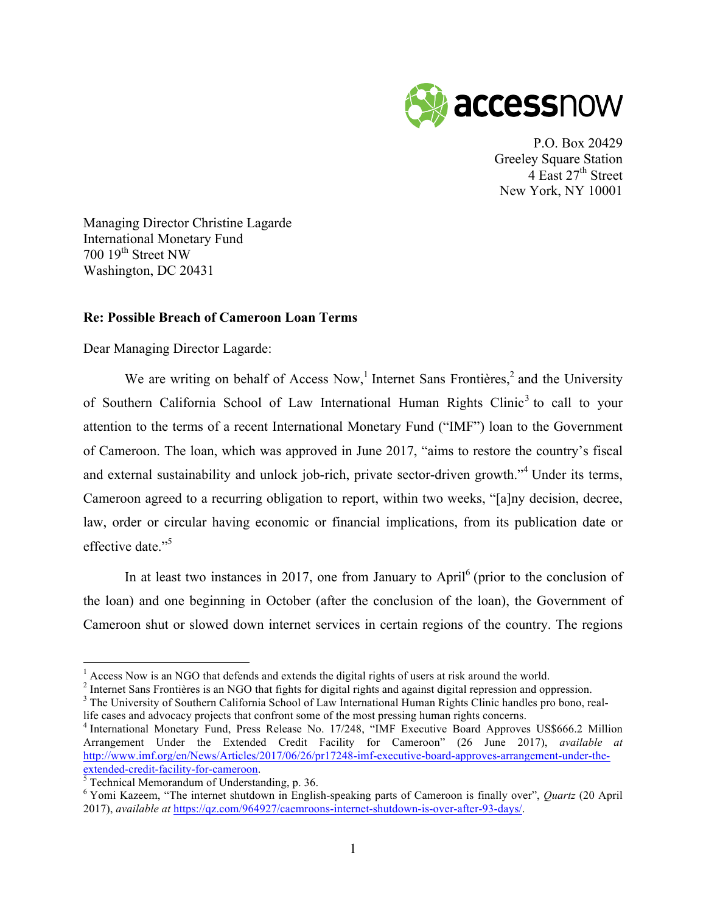

P.O. Box 20429 Greeley Square Station 4 East  $27<sup>th</sup>$  Street New York, NY 10001

Managing Director Christine Lagarde International Monetary Fund 700 19<sup>th</sup> Street NW Washington, DC 20431

## **Re: Possible Breach of Cameroon Loan Terms**

Dear Managing Director Lagarde:

We are writing on behalf of Access Now,<sup>1</sup> Internet Sans Frontières,<sup>2</sup> and the University of Southern California School of Law International Human Rights Clinic<sup>3</sup> to call to your attention to the terms of a recent International Monetary Fund ("IMF") loan to the Government of Cameroon. The loan, which was approved in June 2017, "aims to restore the country's fiscal and external sustainability and unlock job-rich, private sector-driven growth."<sup>4</sup> Under its terms, Cameroon agreed to a recurring obligation to report, within two weeks, "[a]ny decision, decree, law, order or circular having economic or financial implications, from its publication date or effective date."<sup>5</sup>

In at least two instances in 2017, one from January to April $<sup>6</sup>$  (prior to the conclusion of</sup> the loan) and one beginning in October (after the conclusion of the loan), the Government of Cameroon shut or slowed down internet services in certain regions of the country. The regions

 $\frac{1}{2}$  Access Now is an NGO that defends and extends the digital rights of users at risk around the world.<br>
<sup>2</sup> Internet Sans Frontières is an NGO that fights for digital rights and against digital repression and oppre

life cases and advocacy projects that confront some of the most pressing human rights concerns. <sup>4</sup> International Monetary Fund, Press Release No. 17/248, "IMF Executive Board Approves US\$666.2 Million

Arrangement Under the Extended Credit Facility for Cameroon" (26 June 2017), *available at* http://www.imf.org/en/News/Articles/2017/06/26/pr17248-imf-executive-board-approves-arrangement-under-the-<br>extended-credit-facility-for-cameroon.<br><sup>5</sup> Technical Memorandum of Understanding, p. 36.

<sup>&</sup>lt;sup>6</sup> Yomi Kazeem, "The internet shutdown in English-speaking parts of Cameroon is finally over", *Quartz* (20 April 2017), *available at* https://qz.com/964927/caemroons-internet-shutdown-is-over-after-93-days/.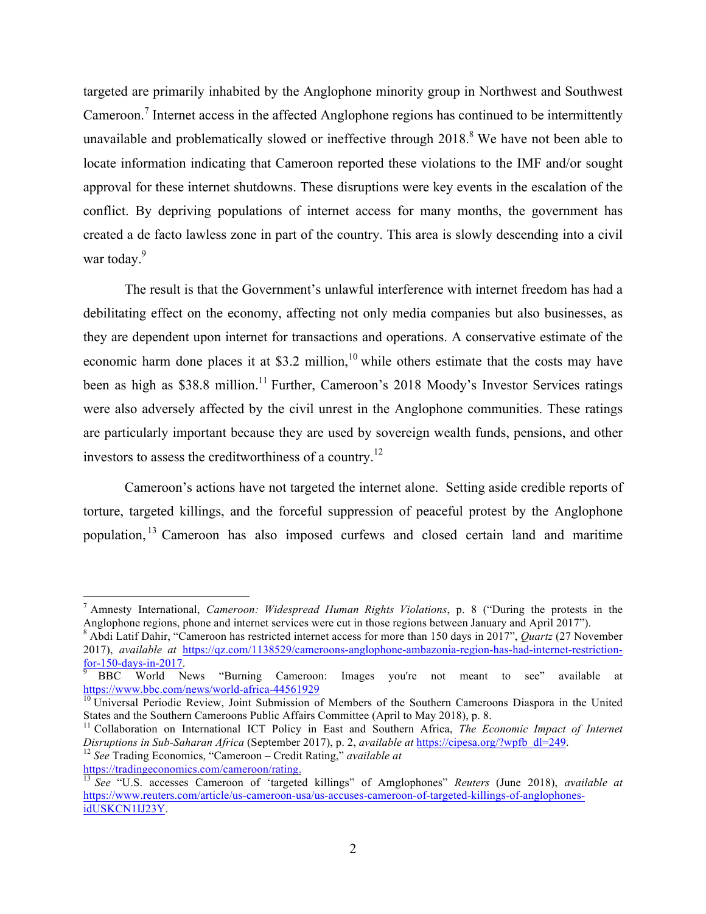targeted are primarily inhabited by the Anglophone minority group in Northwest and Southwest Cameroon.<sup>7</sup> Internet access in the affected Anglophone regions has continued to be intermittently unavailable and problematically slowed or ineffective through  $2018<sup>8</sup>$  We have not been able to locate information indicating that Cameroon reported these violations to the IMF and/or sought approval for these internet shutdowns. These disruptions were key events in the escalation of the conflict. By depriving populations of internet access for many months, the government has created a de facto lawless zone in part of the country. This area is slowly descending into a civil war today.<sup>9</sup>

The result is that the Government's unlawful interference with internet freedom has had a debilitating effect on the economy, affecting not only media companies but also businesses, as they are dependent upon internet for transactions and operations. A conservative estimate of the economic harm done places it at \$3.2 million,<sup>10</sup> while others estimate that the costs may have been as high as \$38.8 million.<sup>11</sup> Further, Cameroon's 2018 Moody's Investor Services ratings were also adversely affected by the civil unrest in the Anglophone communities. These ratings are particularly important because they are used by sovereign wealth funds, pensions, and other investors to assess the creditworthiness of a country.<sup>12</sup>

Cameroon's actions have not targeted the internet alone. Setting aside credible reports of torture, targeted killings, and the forceful suppression of peaceful protest by the Anglophone population, <sup>13</sup> Cameroon has also imposed curfews and closed certain land and maritime

 <sup>7</sup> Amnesty International, *Cameroon: Widespread Human Rights Violations*, p. <sup>8</sup> ("During the protests in the

 $8$  Abdi Latif Dahir, "Cameroon has restricted internet access for more than 150 days in 2017", Quartz (27 November 2017), *available at* https://qz.com/1138529/cameroons-anglophone-ambazonia-region-has-had-internet-restrictionfor-150-days-in-2017.<br><sup>9</sup> BBC World News "Burning Cameroon: Images you're not meant to see" available at

https://www.bbc.com/news/world-africa-44561929<br><sup>10</sup> Universal Periodic Review, Joint Submission of Members of the Southern Cameroons Diaspora in the United<br>States and the Southern Cameroons Public Affairs Committee (April

<sup>&</sup>lt;sup>11</sup> Collaboration on International ICT Policy in East and Southern Africa, The Economic Impact of Internet Disruptions in Sub-Saharan Africa (September 2017), p. 2, available at https://cipesa.org/?wpfb\_dl=249.<br><sup>12</sup> See Trading Economics, "Cameroon – Credit Rating," available at

https://tradingeconomics.com/cameroon/rating. <sup>13</sup> *See* "U.S. accesses Cameroon of 'targeted killings" of Amglophones" *Reuters* (June 2018), *available at* https://www.reuters.com/article/us-cameroon-usa/us-accuses-cameroon-of-targeted-killings-of-anglophonesidUSKCN1IJ23Y.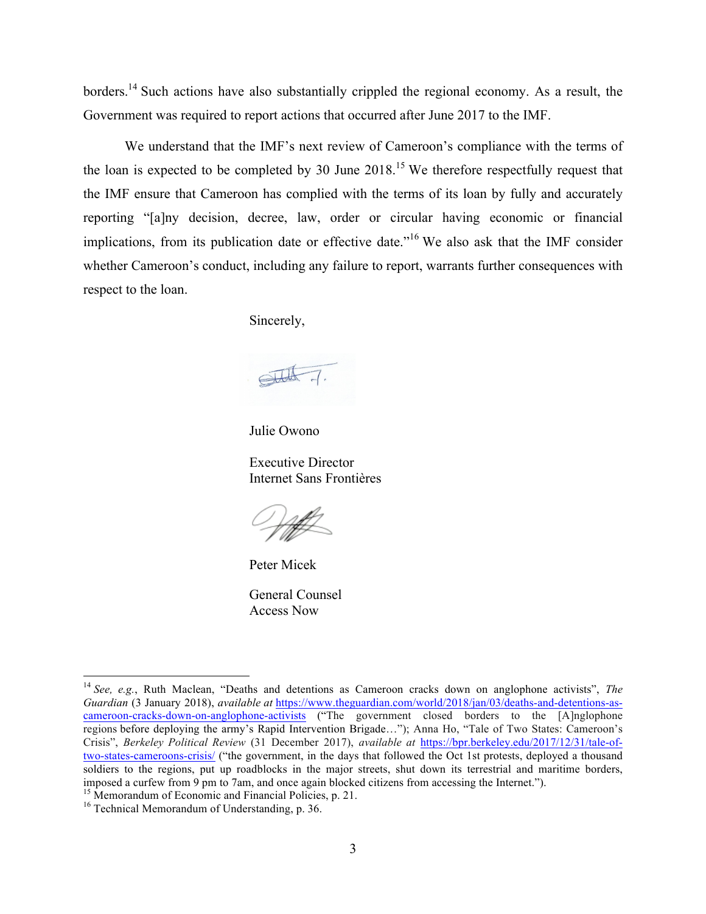borders.<sup>14</sup> Such actions have also substantially crippled the regional economy. As a result, the Government was required to report actions that occurred after June 2017 to the IMF.

We understand that the IMF's next review of Cameroon's compliance with the terms of the loan is expected to be completed by 30 June  $2018<sup>15</sup>$  We therefore respectfully request that the IMF ensure that Cameroon has complied with the terms of its loan by fully and accurately reporting "[a]ny decision, decree, law, order or circular having economic or financial implications, from its publication date or effective date.<sup>116</sup> We also ask that the IMF consider whether Cameroon's conduct, including any failure to report, warrants further consequences with respect to the loan.

Sincerely,

Julie Owono

Executive Director Internet Sans Frontières

Peter Micek

General Counsel Access Now

 <sup>14</sup> *See, e.g.*, Ruth Maclean, "Deaths and detentions as Cameroon cracks down on anglophone activists", *The Guardian* (3 January 2018), *available at* https://www.theguardian.com/world/2018/jan/03/deaths-and-detentions-ascameroon-cracks-down-on-anglophone-activists ("The government closed borders to the [A]nglophone regions before deploying the army's Rapid Intervention Brigade…"); Anna Ho, "Tale of Two States: Cameroon's Crisis", *Berkeley Political Review* (31 December 2017), *available at* https://bpr.berkeley.edu/2017/12/31/tale-oftwo-states-cameroons-crisis/ ("the government, in the days that followed the Oct 1st protests, deployed a thousand soldiers to the regions, put up roadblocks in the major streets, shut down its terrestrial and maritime borders, is metallient from 9 pm to 7am, and once again blocked citizens from accessing the Internet.").<br><sup>15</sup> Memorandum of Economic and Financial Policies, p. 21.<br><sup>16</sup> Technical Memorandum of Understanding, p. 36.